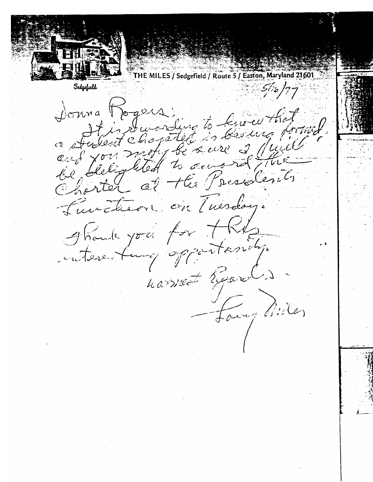HE MILES / Sedgefield / Route 5 / Easton, Maryland 21601 Sedgefueld  $51,5/77$ Jonna Rogers sura logour, Griffing is bestera a surfer be se ire 2 puis  $\alpha \sim \beta' \times \sigma$ eus fournisted to severe be dergment de Presidence on Tuesday. Turcheon. Should you for the interesting opportanily. harriet Report Formy Miles **c:**  $\frac{1}{2}$  Page 126.TiF Page 126.TiF Page 126.TiF Page 126.TiF Page 126.TiF Page 126.TiF Page 126.TiF Page 126.TiF Page 126.TiF Page 126.TiF Page 126.TiF Page 126.TiF Page 126.TiF Page 126.TiF Page 126.TiF Page 126.TiF